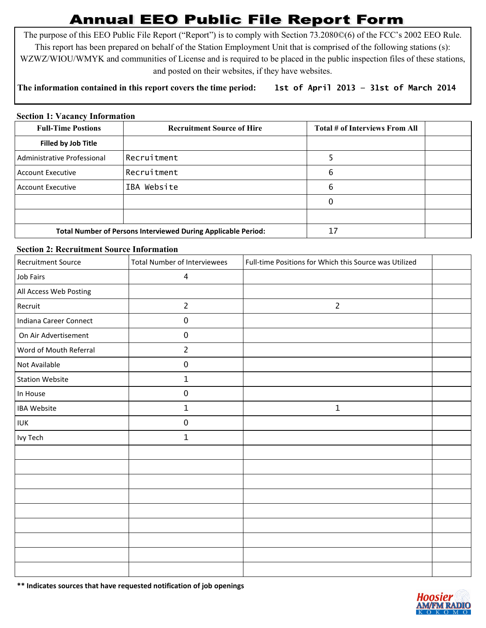# **Annual EEO Public File Report Form**

The purpose of this EEO Public File Report ("Report") is to comply with Section 73.2080©(6) of the FCC's 2002 EEO Rule. This report has been prepared on behalf of the Station Employment Unit that is comprised of the following stations (s): WZWZ/WIOU/WMYK and communities of License and is required to be placed in the public inspection files of these stations, and posted on their websites, if they have websites.

## **The information contained in this report covers the time period: 1st of April 2013 — 31st of March 2014**

#### **Section 1: Vacancy Information**

| <b>Full-Time Postions</b>                                            | <b>Recruitment Source of Hire</b> | Total # of Interviews From All |  |
|----------------------------------------------------------------------|-----------------------------------|--------------------------------|--|
| Filled by Job Title                                                  |                                   |                                |  |
| l Administrative Professional                                        | Recruitment                       |                                |  |
| Account Executive                                                    | Recruitment                       | 6                              |  |
| Account Executive                                                    | IBA Website                       | 6                              |  |
|                                                                      |                                   | 0                              |  |
|                                                                      |                                   |                                |  |
| <b>Total Number of Persons Interviewed During Applicable Period:</b> |                                   | 17                             |  |

#### **Section 2: Recruitment Source Information**

| <b>Recruitment Source</b> | <b>Total Number of Interviewees</b> | Full-time Positions for Which this Source was Utilized |  |
|---------------------------|-------------------------------------|--------------------------------------------------------|--|
| Job Fairs                 | $\overline{4}$                      |                                                        |  |
| All Access Web Posting    |                                     |                                                        |  |
| Recruit                   | $\overline{2}$                      | $\overline{2}$                                         |  |
| Indiana Career Connect    | $\pmb{0}$                           |                                                        |  |
| On Air Advertisement      | $\pmb{0}$                           |                                                        |  |
| Word of Mouth Referral    | $\overline{2}$                      |                                                        |  |
| Not Available             | $\pmb{0}$                           |                                                        |  |
| <b>Station Website</b>    | $\mathbf{1}$                        |                                                        |  |
| In House                  | $\pmb{0}$                           |                                                        |  |
| <b>IBA Website</b>        | $1\,$                               | $\mathbf{1}$                                           |  |
| <b>IUK</b>                | $\pmb{0}$                           |                                                        |  |
| Ivy Tech                  | $\mathbf{1}$                        |                                                        |  |
|                           |                                     |                                                        |  |
|                           |                                     |                                                        |  |
|                           |                                     |                                                        |  |
|                           |                                     |                                                        |  |
|                           |                                     |                                                        |  |
|                           |                                     |                                                        |  |
|                           |                                     |                                                        |  |
|                           |                                     |                                                        |  |
|                           |                                     |                                                        |  |

**\*\* Indicates sources that have requested notification of job openings**